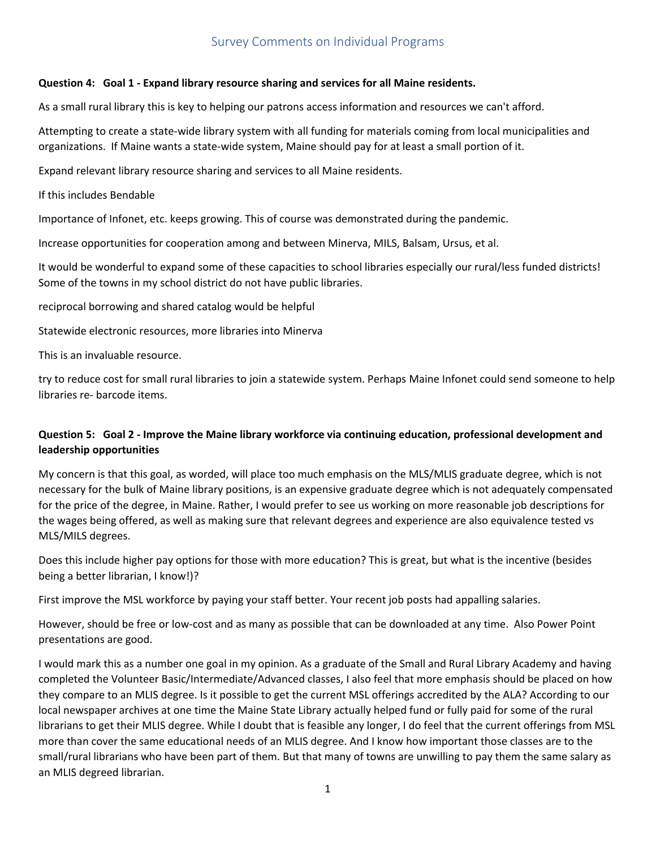# Survey Comments on Individual Programs

## **Question 4: Goal 1 - Expand library resource sharing and services for all Maine residents.**

As a small rural library this is key to helping our patrons access information and resources we can't afford.

Attempting to create a state-wide library system with all funding for materials coming from local municipalities and organizations. If Maine wants a state-wide system, Maine should pay for at least a small portion of it.

Expand relevant library resource sharing and services to all Maine residents.

If this includes Bendable

Importance of Infonet, etc. keeps growing. This of course was demonstrated during the pandemic.

Increase opportunities for cooperation among and between Minerva, MILS, Balsam, Ursus, et al.

It would be wonderful to expand some of these capacities to school libraries especially our rural/less funded districts! Some of the towns in my school district do not have public libraries.

reciprocal borrowing and shared catalog would be helpful

Statewide electronic resources, more libraries into Minerva

This is an invaluable resource.

try to reduce cost for small rural libraries to join a statewide system. Perhaps Maine Infonet could send someone to help libraries re- barcode items.

## **Question 5: Goal 2 - Improve the Maine library workforce via continuing education, professional development and leadership opportunities**

My concern is that this goal, as worded, will place too much emphasis on the MLS/MLIS graduate degree, which is not necessary for the bulk of Maine library positions, is an expensive graduate degree which is not adequately compensated for the price of the degree, in Maine. Rather, I would prefer to see us working on more reasonable job descriptions for the wages being offered, as well as making sure that relevant degrees and experience are also equivalence tested vs MLS/MILS degrees.

Does this include higher pay options for those with more education? This is great, but what is the incentive (besides being a better librarian, I know!)?

First improve the MSL workforce by paying your staff better. Your recent job posts had appalling salaries.

However, should be free or low-cost and as many as possible that can be downloaded at any time. Also Power Point presentations are good.

I would mark this as a number one goal in my opinion. As a graduate of the Small and Rural Library Academy and having completed the Volunteer Basic/Intermediate/Advanced classes, I also feel that more emphasis should be placed on how they compare to an MLIS degree. Is it possible to get the current MSL offerings accredited by the ALA? According to our local newspaper archives at one time the Maine State Library actually helped fund or fully paid for some of the rural librarians to get their MLIS degree. While I doubt that is feasible any longer, I do feel that the current offerings from MSL more than cover the same educational needs of an MLIS degree. And I know how important those classes are to the small/rural librarians who have been part of them. But that many of towns are unwilling to pay them the same salary as an MLIS degreed librarian.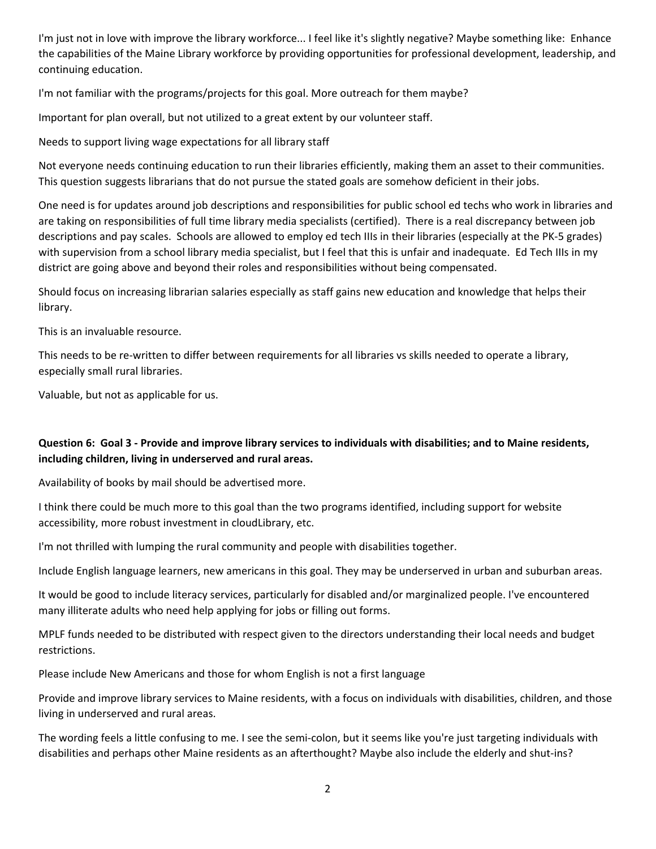I'm just not in love with improve the library workforce... I feel like it's slightly negative? Maybe something like: Enhance the capabilities of the Maine Library workforce by providing opportunities for professional development, leadership, and continuing education.

I'm not familiar with the programs/projects for this goal. More outreach for them maybe?

Important for plan overall, but not utilized to a great extent by our volunteer staff.

Needs to support living wage expectations for all library staff

Not everyone needs continuing education to run their libraries efficiently, making them an asset to their communities. This question suggests librarians that do not pursue the stated goals are somehow deficient in their jobs.

One need is for updates around job descriptions and responsibilities for public school ed techs who work in libraries and are taking on responsibilities of full time library media specialists (certified). There is a real discrepancy between job descriptions and pay scales. Schools are allowed to employ ed tech IIIs in their libraries (especially at the PK-5 grades) with supervision from a school library media specialist, but I feel that this is unfair and inadequate. Ed Tech IIIs in my district are going above and beyond their roles and responsibilities without being compensated.

Should focus on increasing librarian salaries especially as staff gains new education and knowledge that helps their library.

This is an invaluable resource.

This needs to be re-written to differ between requirements for all libraries vs skills needed to operate a library, especially small rural libraries.

Valuable, but not as applicable for us.

## **Question 6: Goal 3 - Provide and improve library services to individuals with disabilities; and to Maine residents, including children, living in underserved and rural areas.**

Availability of books by mail should be advertised more.

I think there could be much more to this goal than the two programs identified, including support for website accessibility, more robust investment in cloudLibrary, etc.

I'm not thrilled with lumping the rural community and people with disabilities together.

Include English language learners, new americans in this goal. They may be underserved in urban and suburban areas.

It would be good to include literacy services, particularly for disabled and/or marginalized people. I've encountered many illiterate adults who need help applying for jobs or filling out forms.

MPLF funds needed to be distributed with respect given to the directors understanding their local needs and budget restrictions.

Please include New Americans and those for whom English is not a first language

Provide and improve library services to Maine residents, with a focus on individuals with disabilities, children, and those living in underserved and rural areas.

The wording feels a little confusing to me. I see the semi-colon, but it seems like you're just targeting individuals with disabilities and perhaps other Maine residents as an afterthought? Maybe also include the elderly and shut-ins?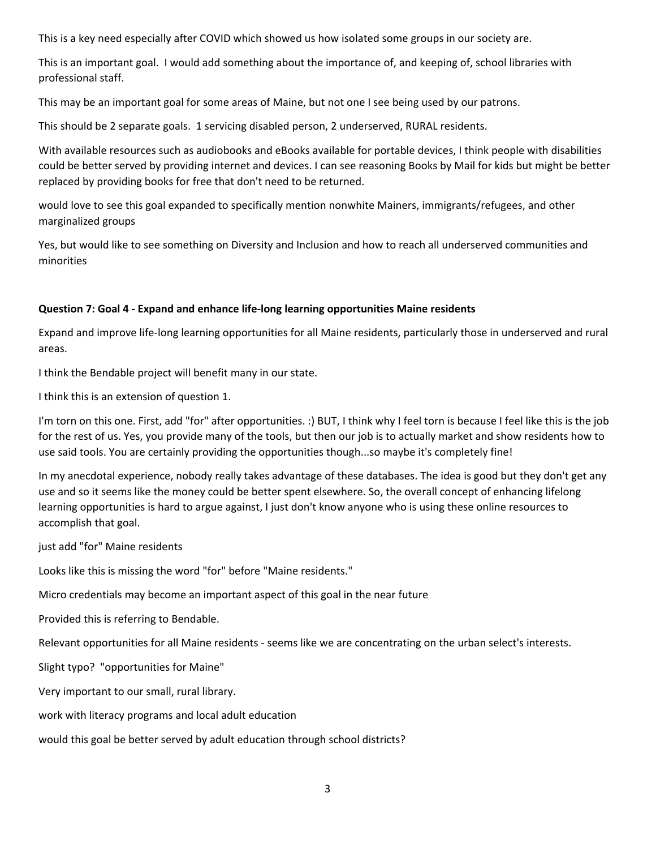This is a key need especially after COVID which showed us how isolated some groups in our society are.

This is an important goal. I would add something about the importance of, and keeping of, school libraries with professional staff.

This may be an important goal for some areas of Maine, but not one I see being used by our patrons.

This should be 2 separate goals. 1 servicing disabled person, 2 underserved, RURAL residents.

With available resources such as audiobooks and eBooks available for portable devices, I think people with disabilities could be better served by providing internet and devices. I can see reasoning Books by Mail for kids but might be better replaced by providing books for free that don't need to be returned.

would love to see this goal expanded to specifically mention nonwhite Mainers, immigrants/refugees, and other marginalized groups

Yes, but would like to see something on Diversity and Inclusion and how to reach all underserved communities and minorities

## **Question 7: Goal 4 - Expand and enhance life-long learning opportunities Maine residents**

Expand and improve life-long learning opportunities for all Maine residents, particularly those in underserved and rural areas.

I think the Bendable project will benefit many in our state.

I think this is an extension of question 1.

I'm torn on this one. First, add "for" after opportunities. :) BUT, I think why I feel torn is because I feel like this is the job for the rest of us. Yes, you provide many of the tools, but then our job is to actually market and show residents how to use said tools. You are certainly providing the opportunities though...so maybe it's completely fine!

In my anecdotal experience, nobody really takes advantage of these databases. The idea is good but they don't get any use and so it seems like the money could be better spent elsewhere. So, the overall concept of enhancing lifelong learning opportunities is hard to argue against, I just don't know anyone who is using these online resources to accomplish that goal.

just add "for" Maine residents

Looks like this is missing the word "for" before "Maine residents."

Micro credentials may become an important aspect of this goal in the near future

Provided this is referring to Bendable.

Relevant opportunities for all Maine residents - seems like we are concentrating on the urban select's interests.

Slight typo? "opportunities for Maine"

Very important to our small, rural library.

work with literacy programs and local adult education

would this goal be better served by adult education through school districts?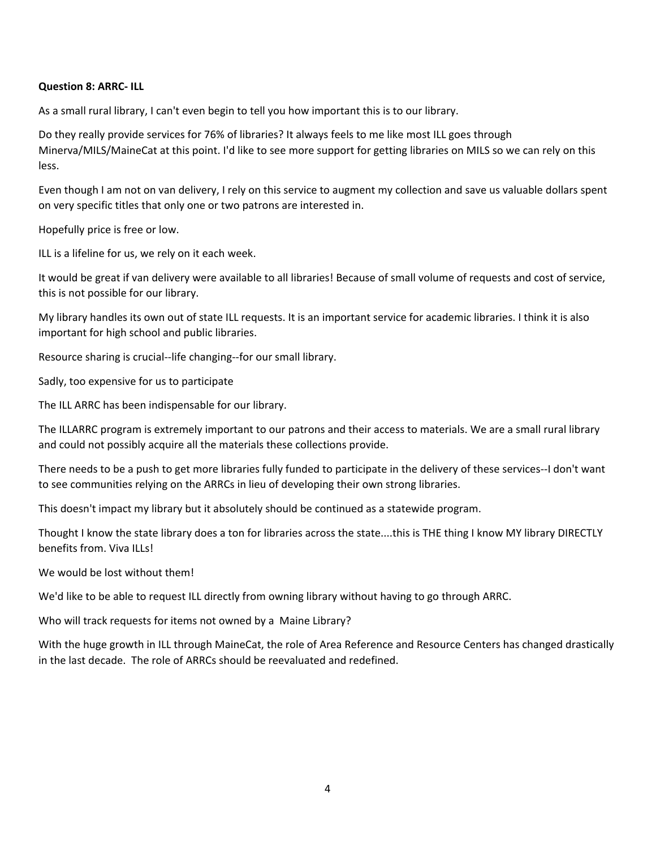#### **Question 8: ARRC- ILL**

As a small rural library, I can't even begin to tell you how important this is to our library.

Do they really provide services for 76% of libraries? It always feels to me like most ILL goes through Minerva/MILS/MaineCat at this point. I'd like to see more support for getting libraries on MILS so we can rely on this less.

Even though I am not on van delivery, I rely on this service to augment my collection and save us valuable dollars spent on very specific titles that only one or two patrons are interested in.

Hopefully price is free or low.

ILL is a lifeline for us, we rely on it each week.

It would be great if van delivery were available to all libraries! Because of small volume of requests and cost of service, this is not possible for our library.

My library handles its own out of state ILL requests. It is an important service for academic libraries. I think it is also important for high school and public libraries.

Resource sharing is crucial--life changing--for our small library.

Sadly, too expensive for us to participate

The ILL ARRC has been indispensable for our library.

The ILLARRC program is extremely important to our patrons and their access to materials. We are a small rural library and could not possibly acquire all the materials these collections provide.

There needs to be a push to get more libraries fully funded to participate in the delivery of these services--I don't want to see communities relying on the ARRCs in lieu of developing their own strong libraries.

This doesn't impact my library but it absolutely should be continued as a statewide program.

Thought I know the state library does a ton for libraries across the state....this is THE thing I know MY library DIRECTLY benefits from. Viva ILLs!

We would be lost without them!

We'd like to be able to request ILL directly from owning library without having to go through ARRC.

Who will track requests for items not owned by a Maine Library?

With the huge growth in ILL through MaineCat, the role of Area Reference and Resource Centers has changed drastically in the last decade. The role of ARRCs should be reevaluated and redefined.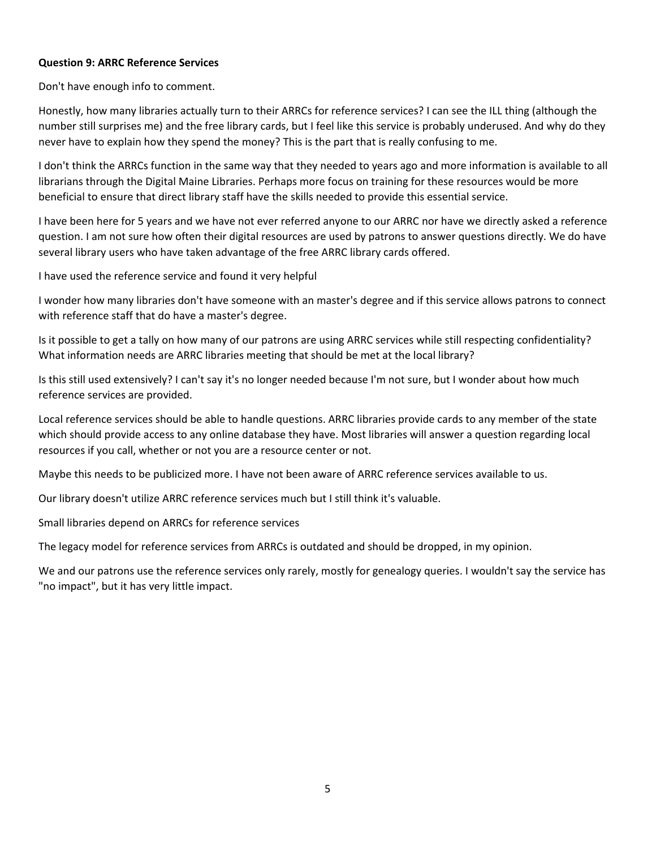## **Question 9: ARRC Reference Services**

Don't have enough info to comment.

Honestly, how many libraries actually turn to their ARRCs for reference services? I can see the ILL thing (although the number still surprises me) and the free library cards, but I feel like this service is probably underused. And why do they never have to explain how they spend the money? This is the part that is really confusing to me.

I don't think the ARRCs function in the same way that they needed to years ago and more information is available to all librarians through the Digital Maine Libraries. Perhaps more focus on training for these resources would be more beneficial to ensure that direct library staff have the skills needed to provide this essential service.

I have been here for 5 years and we have not ever referred anyone to our ARRC nor have we directly asked a reference question. I am not sure how often their digital resources are used by patrons to answer questions directly. We do have several library users who have taken advantage of the free ARRC library cards offered.

I have used the reference service and found it very helpful

I wonder how many libraries don't have someone with an master's degree and if this service allows patrons to connect with reference staff that do have a master's degree.

Is it possible to get a tally on how many of our patrons are using ARRC services while still respecting confidentiality? What information needs are ARRC libraries meeting that should be met at the local library?

Is this still used extensively? I can't say it's no longer needed because I'm not sure, but I wonder about how much reference services are provided.

Local reference services should be able to handle questions. ARRC libraries provide cards to any member of the state which should provide access to any online database they have. Most libraries will answer a question regarding local resources if you call, whether or not you are a resource center or not.

Maybe this needs to be publicized more. I have not been aware of ARRC reference services available to us.

Our library doesn't utilize ARRC reference services much but I still think it's valuable.

Small libraries depend on ARRCs for reference services

The legacy model for reference services from ARRCs is outdated and should be dropped, in my opinion.

We and our patrons use the reference services only rarely, mostly for genealogy queries. I wouldn't say the service has "no impact", but it has very little impact.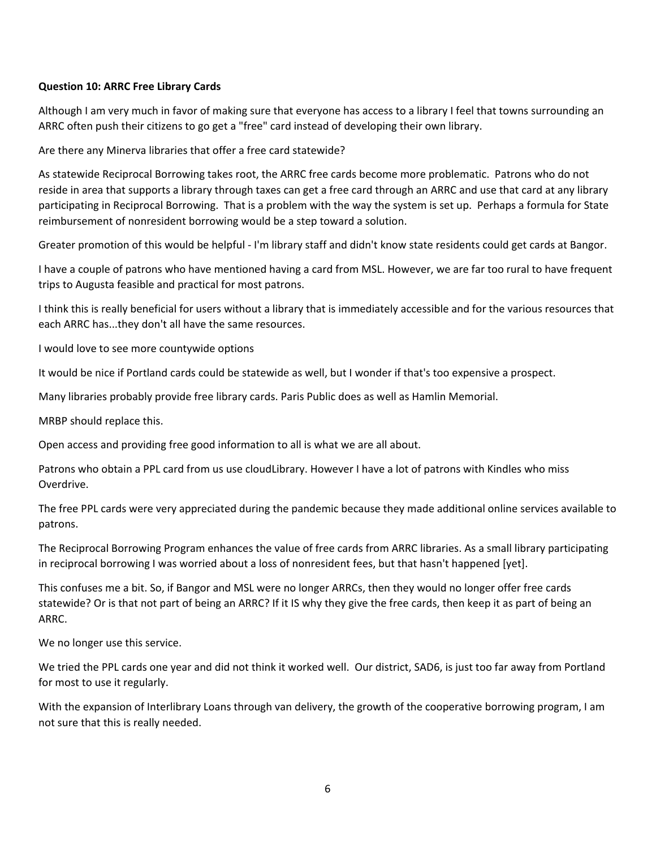## **Question 10: ARRC Free Library Cards**

Although I am very much in favor of making sure that everyone has access to a library I feel that towns surrounding an ARRC often push their citizens to go get a "free" card instead of developing their own library.

Are there any Minerva libraries that offer a free card statewide?

As statewide Reciprocal Borrowing takes root, the ARRC free cards become more problematic. Patrons who do not reside in area that supports a library through taxes can get a free card through an ARRC and use that card at any library participating in Reciprocal Borrowing. That is a problem with the way the system is set up. Perhaps a formula for State reimbursement of nonresident borrowing would be a step toward a solution.

Greater promotion of this would be helpful - I'm library staff and didn't know state residents could get cards at Bangor.

I have a couple of patrons who have mentioned having a card from MSL. However, we are far too rural to have frequent trips to Augusta feasible and practical for most patrons.

I think this is really beneficial for users without a library that is immediately accessible and for the various resources that each ARRC has...they don't all have the same resources.

I would love to see more countywide options

It would be nice if Portland cards could be statewide as well, but I wonder if that's too expensive a prospect.

Many libraries probably provide free library cards. Paris Public does as well as Hamlin Memorial.

MRBP should replace this.

Open access and providing free good information to all is what we are all about.

Patrons who obtain a PPL card from us use cloudLibrary. However I have a lot of patrons with Kindles who miss Overdrive.

The free PPL cards were very appreciated during the pandemic because they made additional online services available to patrons.

The Reciprocal Borrowing Program enhances the value of free cards from ARRC libraries. As a small library participating in reciprocal borrowing I was worried about a loss of nonresident fees, but that hasn't happened [yet].

This confuses me a bit. So, if Bangor and MSL were no longer ARRCs, then they would no longer offer free cards statewide? Or is that not part of being an ARRC? If it IS why they give the free cards, then keep it as part of being an ARRC.

We no longer use this service.

We tried the PPL cards one year and did not think it worked well. Our district, SAD6, is just too far away from Portland for most to use it regularly.

With the expansion of Interlibrary Loans through van delivery, the growth of the cooperative borrowing program, I am not sure that this is really needed.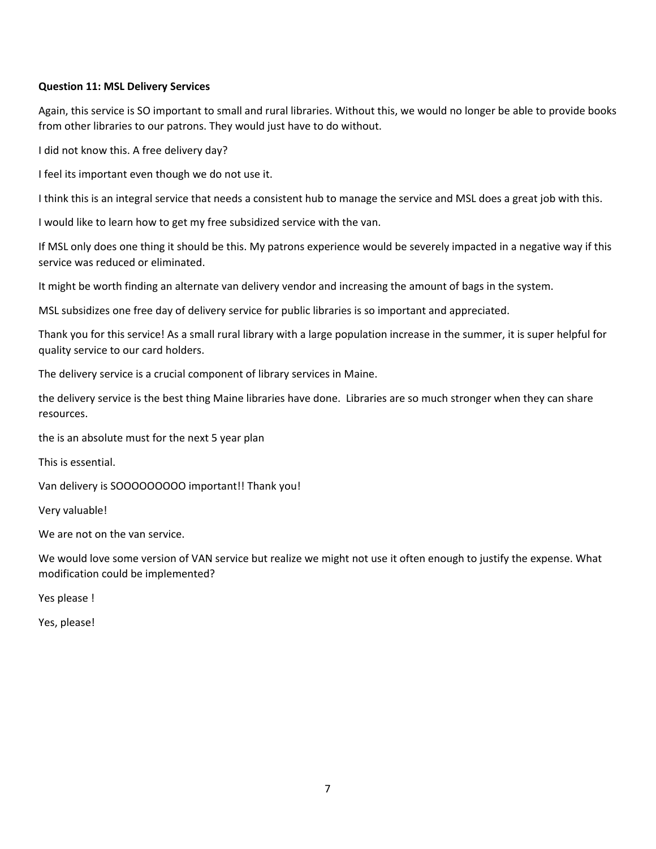## **Question 11: MSL Delivery Services**

Again, this service is SO important to small and rural libraries. Without this, we would no longer be able to provide books from other libraries to our patrons. They would just have to do without.

I did not know this. A free delivery day?

I feel its important even though we do not use it.

I think this is an integral service that needs a consistent hub to manage the service and MSL does a great job with this.

I would like to learn how to get my free subsidized service with the van.

If MSL only does one thing it should be this. My patrons experience would be severely impacted in a negative way if this service was reduced or eliminated.

It might be worth finding an alternate van delivery vendor and increasing the amount of bags in the system.

MSL subsidizes one free day of delivery service for public libraries is so important and appreciated.

Thank you for this service! As a small rural library with a large population increase in the summer, it is super helpful for quality service to our card holders.

The delivery service is a crucial component of library services in Maine.

the delivery service is the best thing Maine libraries have done. Libraries are so much stronger when they can share resources.

the is an absolute must for the next 5 year plan

This is essential.

Van delivery is SOOOOOOOOO important!! Thank you!

Very valuable!

We are not on the van service.

We would love some version of VAN service but realize we might not use it often enough to justify the expense. What modification could be implemented?

Yes please !

Yes, please!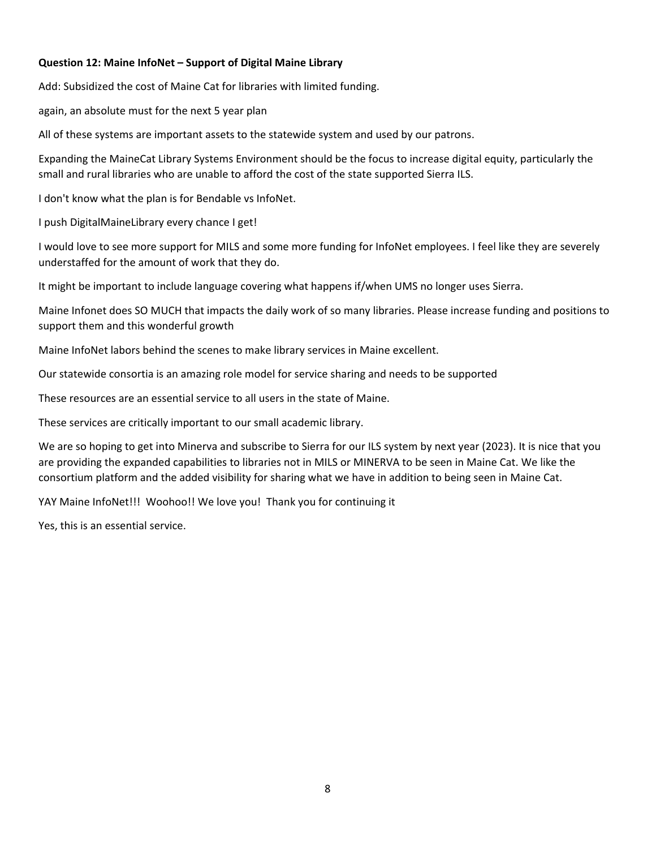## **Question 12: Maine InfoNet – Support of Digital Maine Library**

Add: Subsidized the cost of Maine Cat for libraries with limited funding.

again, an absolute must for the next 5 year plan

All of these systems are important assets to the statewide system and used by our patrons.

Expanding the MaineCat Library Systems Environment should be the focus to increase digital equity, particularly the small and rural libraries who are unable to afford the cost of the state supported Sierra ILS.

I don't know what the plan is for Bendable vs InfoNet.

I push DigitalMaineLibrary every chance I get!

I would love to see more support for MILS and some more funding for InfoNet employees. I feel like they are severely understaffed for the amount of work that they do.

It might be important to include language covering what happens if/when UMS no longer uses Sierra.

Maine Infonet does SO MUCH that impacts the daily work of so many libraries. Please increase funding and positions to support them and this wonderful growth

Maine InfoNet labors behind the scenes to make library services in Maine excellent.

Our statewide consortia is an amazing role model for service sharing and needs to be supported

These resources are an essential service to all users in the state of Maine.

These services are critically important to our small academic library.

We are so hoping to get into Minerva and subscribe to Sierra for our ILS system by next year (2023). It is nice that you are providing the expanded capabilities to libraries not in MILS or MINERVA to be seen in Maine Cat. We like the consortium platform and the added visibility for sharing what we have in addition to being seen in Maine Cat.

YAY Maine InfoNet!!! Woohoo!! We love you! Thank you for continuing it

Yes, this is an essential service.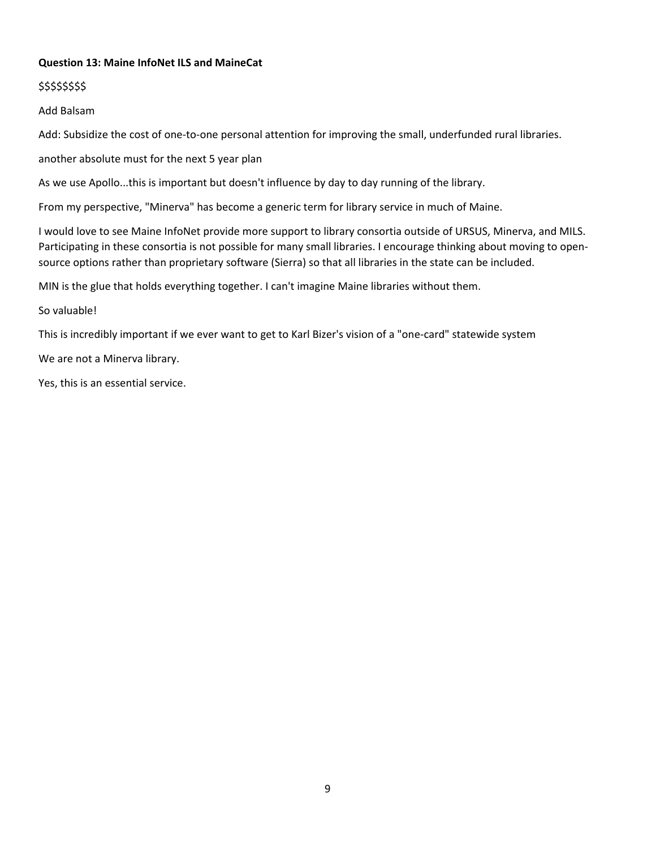## **Question 13: Maine InfoNet ILS and MaineCat**

### \$\$\$\$\$\$\$\$

Add Balsam

Add: Subsidize the cost of one-to-one personal attention for improving the small, underfunded rural libraries.

another absolute must for the next 5 year plan

As we use Apollo...this is important but doesn't influence by day to day running of the library.

From my perspective, "Minerva" has become a generic term for library service in much of Maine.

I would love to see Maine InfoNet provide more support to library consortia outside of URSUS, Minerva, and MILS. Participating in these consortia is not possible for many small libraries. I encourage thinking about moving to opensource options rather than proprietary software (Sierra) so that all libraries in the state can be included.

MIN is the glue that holds everything together. I can't imagine Maine libraries without them.

So valuable!

This is incredibly important if we ever want to get to Karl Bizer's vision of a "one-card" statewide system

We are not a Minerva library.

Yes, this is an essential service.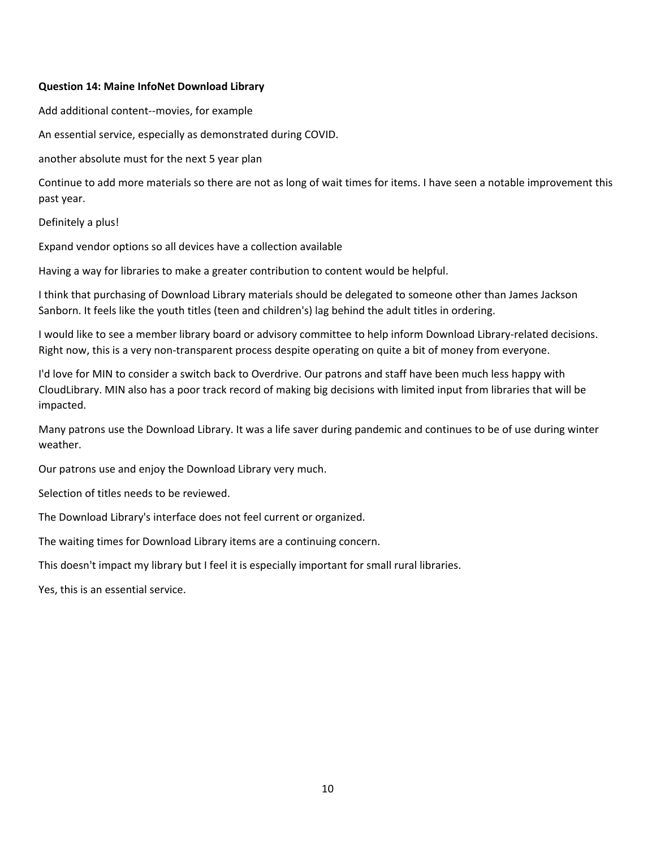#### **Question 14: Maine InfoNet Download Library**

Add additional content--movies, for example

An essential service, especially as demonstrated during COVID.

another absolute must for the next 5 year plan

Continue to add more materials so there are not as long of wait times for items. I have seen a notable improvement this past year.

Definitely a plus!

Expand vendor options so all devices have a collection available

Having a way for libraries to make a greater contribution to content would be helpful.

I think that purchasing of Download Library materials should be delegated to someone other than James Jackson Sanborn. It feels like the youth titles (teen and children's) lag behind the adult titles in ordering.

I would like to see a member library board or advisory committee to help inform Download Library-related decisions. Right now, this is a very non-transparent process despite operating on quite a bit of money from everyone.

I'd love for MIN to consider a switch back to Overdrive. Our patrons and staff have been much less happy with CloudLibrary. MIN also has a poor track record of making big decisions with limited input from libraries that will be impacted.

Many patrons use the Download Library. It was a life saver during pandemic and continues to be of use during winter weather.

Our patrons use and enjoy the Download Library very much.

Selection of titles needs to be reviewed.

The Download Library's interface does not feel current or organized.

The waiting times for Download Library items are a continuing concern.

This doesn't impact my library but I feel it is especially important for small rural libraries.

Yes, this is an essential service.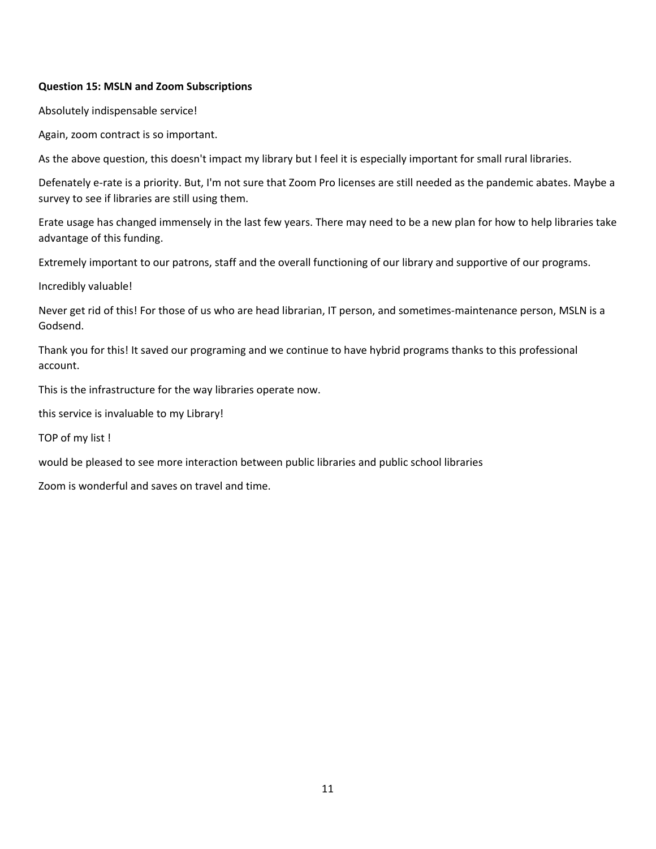## **Question 15: MSLN and Zoom Subscriptions**

Absolutely indispensable service!

Again, zoom contract is so important.

As the above question, this doesn't impact my library but I feel it is especially important for small rural libraries.

Defenately e-rate is a priority. But, I'm not sure that Zoom Pro licenses are still needed as the pandemic abates. Maybe a survey to see if libraries are still using them.

Erate usage has changed immensely in the last few years. There may need to be a new plan for how to help libraries take advantage of this funding.

Extremely important to our patrons, staff and the overall functioning of our library and supportive of our programs.

Incredibly valuable!

Never get rid of this! For those of us who are head librarian, IT person, and sometimes-maintenance person, MSLN is a Godsend.

Thank you for this! It saved our programing and we continue to have hybrid programs thanks to this professional account.

This is the infrastructure for the way libraries operate now.

this service is invaluable to my Library!

TOP of my list !

would be pleased to see more interaction between public libraries and public school libraries

Zoom is wonderful and saves on travel and time.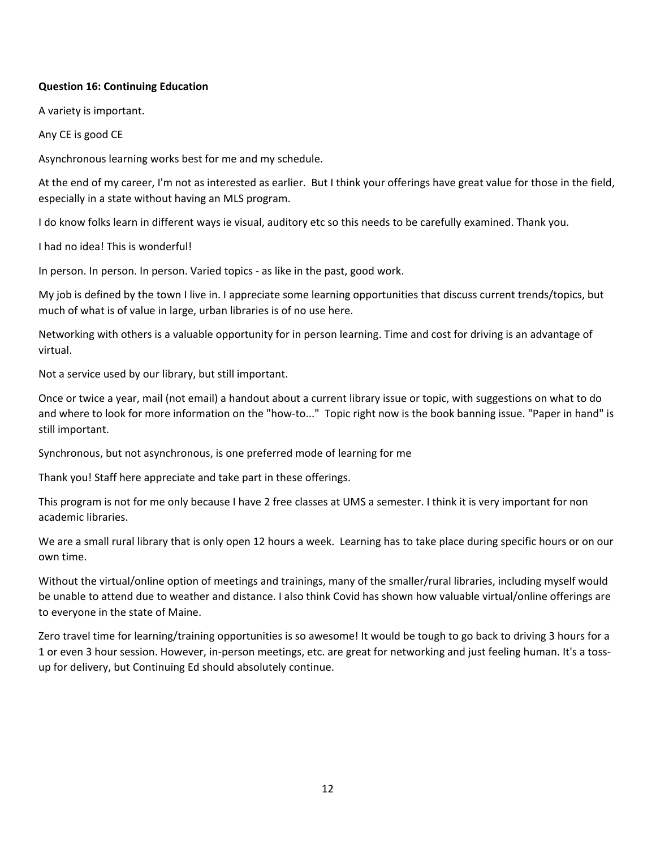### **Question 16: Continuing Education**

A variety is important.

Any CE is good CE

Asynchronous learning works best for me and my schedule.

At the end of my career, I'm not as interested as earlier. But I think your offerings have great value for those in the field, especially in a state without having an MLS program.

I do know folks learn in different ways ie visual, auditory etc so this needs to be carefully examined. Thank you.

I had no idea! This is wonderful!

In person. In person. In person. Varied topics - as like in the past, good work.

My job is defined by the town I live in. I appreciate some learning opportunities that discuss current trends/topics, but much of what is of value in large, urban libraries is of no use here.

Networking with others is a valuable opportunity for in person learning. Time and cost for driving is an advantage of virtual.

Not a service used by our library, but still important.

Once or twice a year, mail (not email) a handout about a current library issue or topic, with suggestions on what to do and where to look for more information on the "how-to..." Topic right now is the book banning issue. "Paper in hand" is still important.

Synchronous, but not asynchronous, is one preferred mode of learning for me

Thank you! Staff here appreciate and take part in these offerings.

This program is not for me only because I have 2 free classes at UMS a semester. I think it is very important for non academic libraries.

We are a small rural library that is only open 12 hours a week. Learning has to take place during specific hours or on our own time.

Without the virtual/online option of meetings and trainings, many of the smaller/rural libraries, including myself would be unable to attend due to weather and distance. I also think Covid has shown how valuable virtual/online offerings are to everyone in the state of Maine.

Zero travel time for learning/training opportunities is so awesome! It would be tough to go back to driving 3 hours for a 1 or even 3 hour session. However, in-person meetings, etc. are great for networking and just feeling human. It's a tossup for delivery, but Continuing Ed should absolutely continue.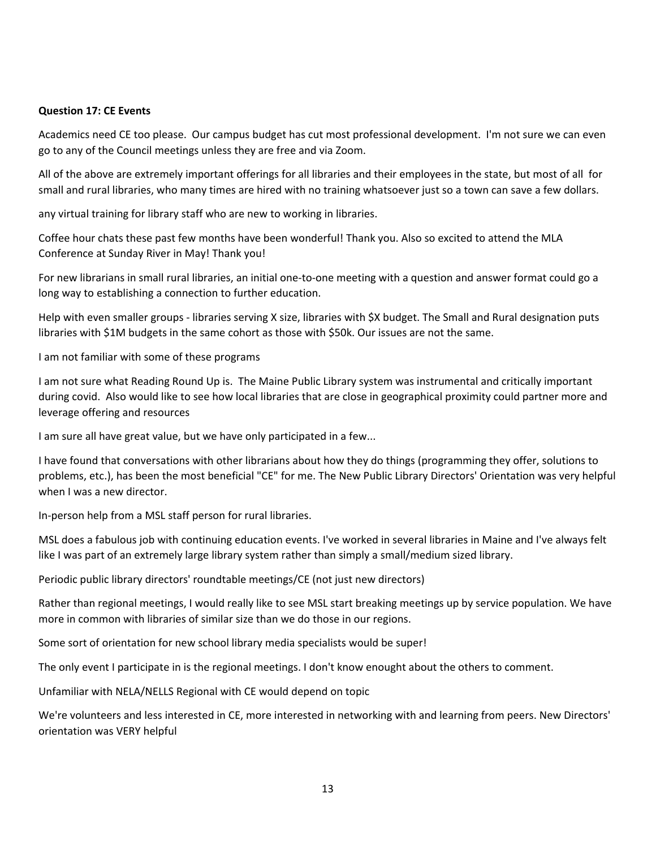#### **Question 17: CE Events**

Academics need CE too please. Our campus budget has cut most professional development. I'm not sure we can even go to any of the Council meetings unless they are free and via Zoom.

All of the above are extremely important offerings for all libraries and their employees in the state, but most of all for small and rural libraries, who many times are hired with no training whatsoever just so a town can save a few dollars.

any virtual training for library staff who are new to working in libraries.

Coffee hour chats these past few months have been wonderful! Thank you. Also so excited to attend the MLA Conference at Sunday River in May! Thank you!

For new librarians in small rural libraries, an initial one-to-one meeting with a question and answer format could go a long way to establishing a connection to further education.

Help with even smaller groups - libraries serving X size, libraries with \$X budget. The Small and Rural designation puts libraries with \$1M budgets in the same cohort as those with \$50k. Our issues are not the same.

I am not familiar with some of these programs

I am not sure what Reading Round Up is. The Maine Public Library system was instrumental and critically important during covid. Also would like to see how local libraries that are close in geographical proximity could partner more and leverage offering and resources

I am sure all have great value, but we have only participated in a few...

I have found that conversations with other librarians about how they do things (programming they offer, solutions to problems, etc.), has been the most beneficial "CE" for me. The New Public Library Directors' Orientation was very helpful when I was a new director.

In-person help from a MSL staff person for rural libraries.

MSL does a fabulous job with continuing education events. I've worked in several libraries in Maine and I've always felt like I was part of an extremely large library system rather than simply a small/medium sized library.

Periodic public library directors' roundtable meetings/CE (not just new directors)

Rather than regional meetings, I would really like to see MSL start breaking meetings up by service population. We have more in common with libraries of similar size than we do those in our regions.

Some sort of orientation for new school library media specialists would be super!

The only event I participate in is the regional meetings. I don't know enought about the others to comment.

Unfamiliar with NELA/NELLS Regional with CE would depend on topic

We're volunteers and less interested in CE, more interested in networking with and learning from peers. New Directors' orientation was VERY helpful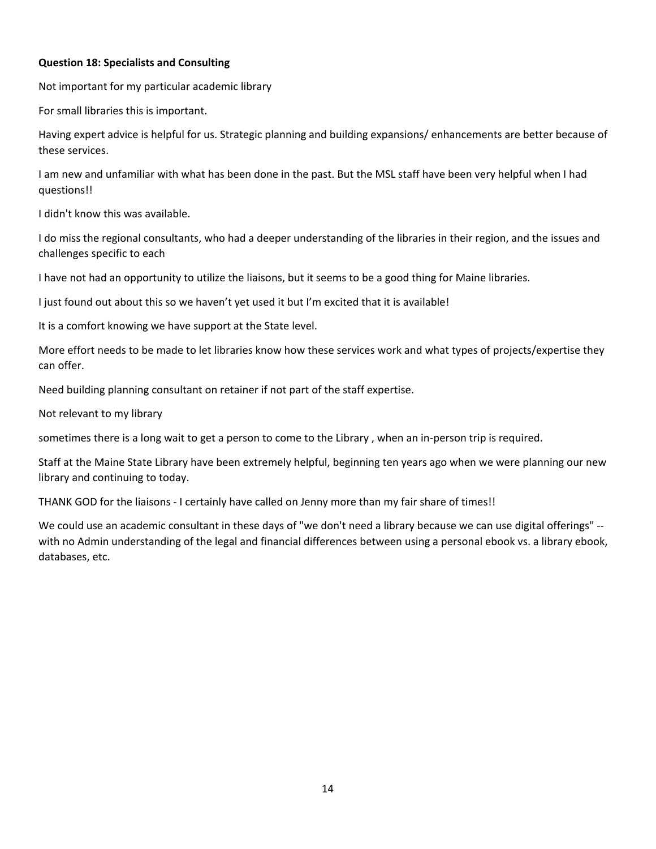## **Question 18: Specialists and Consulting**

Not important for my particular academic library

For small libraries this is important.

Having expert advice is helpful for us. Strategic planning and building expansions/ enhancements are better because of these services.

I am new and unfamiliar with what has been done in the past. But the MSL staff have been very helpful when I had questions!!

I didn't know this was available.

I do miss the regional consultants, who had a deeper understanding of the libraries in their region, and the issues and challenges specific to each

I have not had an opportunity to utilize the liaisons, but it seems to be a good thing for Maine libraries.

I just found out about this so we haven't yet used it but I'm excited that it is available!

It is a comfort knowing we have support at the State level.

More effort needs to be made to let libraries know how these services work and what types of projects/expertise they can offer.

Need building planning consultant on retainer if not part of the staff expertise.

Not relevant to my library

sometimes there is a long wait to get a person to come to the Library , when an in-person trip is required.

Staff at the Maine State Library have been extremely helpful, beginning ten years ago when we were planning our new library and continuing to today.

THANK GOD for the liaisons - I certainly have called on Jenny more than my fair share of times!!

We could use an academic consultant in these days of "we don't need a library because we can use digital offerings" - with no Admin understanding of the legal and financial differences between using a personal ebook vs. a library ebook, databases, etc.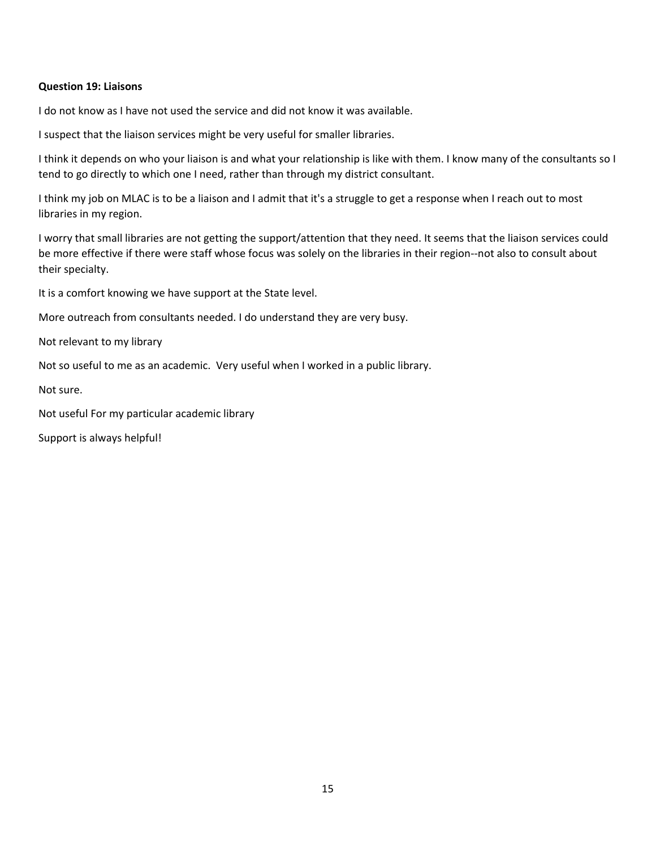#### **Question 19: Liaisons**

I do not know as I have not used the service and did not know it was available.

I suspect that the liaison services might be very useful for smaller libraries.

I think it depends on who your liaison is and what your relationship is like with them. I know many of the consultants so I tend to go directly to which one I need, rather than through my district consultant.

I think my job on MLAC is to be a liaison and I admit that it's a struggle to get a response when I reach out to most libraries in my region.

I worry that small libraries are not getting the support/attention that they need. It seems that the liaison services could be more effective if there were staff whose focus was solely on the libraries in their region--not also to consult about their specialty.

It is a comfort knowing we have support at the State level.

More outreach from consultants needed. I do understand they are very busy.

Not relevant to my library

Not so useful to me as an academic. Very useful when I worked in a public library.

Not sure.

Not useful For my particular academic library

Support is always helpful!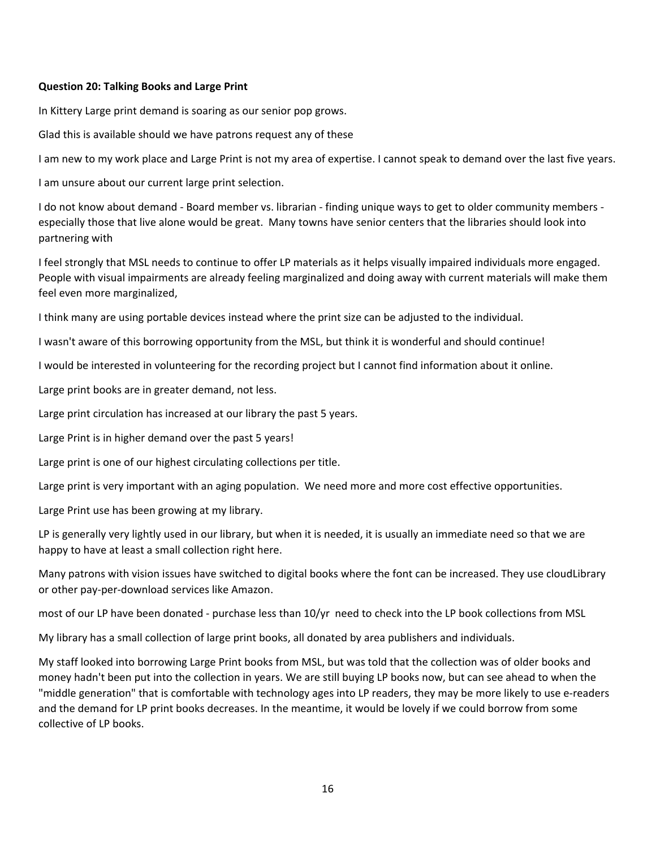#### **Question 20: Talking Books and Large Print**

In Kittery Large print demand is soaring as our senior pop grows.

Glad this is available should we have patrons request any of these

I am new to my work place and Large Print is not my area of expertise. I cannot speak to demand over the last five years.

I am unsure about our current large print selection.

I do not know about demand - Board member vs. librarian - finding unique ways to get to older community members especially those that live alone would be great. Many towns have senior centers that the libraries should look into partnering with

I feel strongly that MSL needs to continue to offer LP materials as it helps visually impaired individuals more engaged. People with visual impairments are already feeling marginalized and doing away with current materials will make them feel even more marginalized,

I think many are using portable devices instead where the print size can be adjusted to the individual.

I wasn't aware of this borrowing opportunity from the MSL, but think it is wonderful and should continue!

I would be interested in volunteering for the recording project but I cannot find information about it online.

Large print books are in greater demand, not less.

Large print circulation has increased at our library the past 5 years.

Large Print is in higher demand over the past 5 years!

Large print is one of our highest circulating collections per title.

Large print is very important with an aging population. We need more and more cost effective opportunities.

Large Print use has been growing at my library.

LP is generally very lightly used in our library, but when it is needed, it is usually an immediate need so that we are happy to have at least a small collection right here.

Many patrons with vision issues have switched to digital books where the font can be increased. They use cloudLibrary or other pay-per-download services like Amazon.

most of our LP have been donated - purchase less than 10/yr need to check into the LP book collections from MSL

My library has a small collection of large print books, all donated by area publishers and individuals.

My staff looked into borrowing Large Print books from MSL, but was told that the collection was of older books and money hadn't been put into the collection in years. We are still buying LP books now, but can see ahead to when the "middle generation" that is comfortable with technology ages into LP readers, they may be more likely to use e-readers and the demand for LP print books decreases. In the meantime, it would be lovely if we could borrow from some collective of LP books.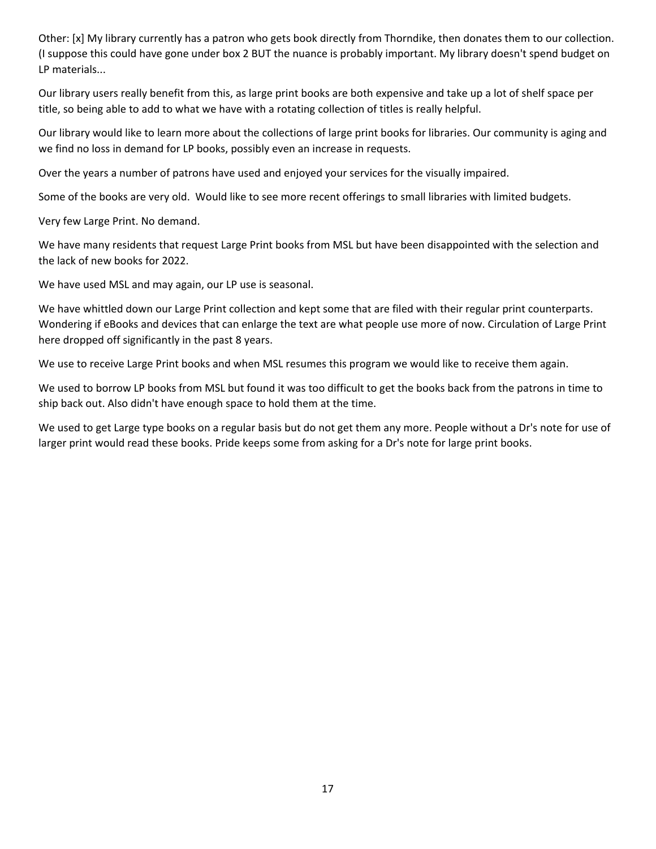Other: [x] My library currently has a patron who gets book directly from Thorndike, then donates them to our collection. (I suppose this could have gone under box 2 BUT the nuance is probably important. My library doesn't spend budget on LP materials...

Our library users really benefit from this, as large print books are both expensive and take up a lot of shelf space per title, so being able to add to what we have with a rotating collection of titles is really helpful.

Our library would like to learn more about the collections of large print books for libraries. Our community is aging and we find no loss in demand for LP books, possibly even an increase in requests.

Over the years a number of patrons have used and enjoyed your services for the visually impaired.

Some of the books are very old. Would like to see more recent offerings to small libraries with limited budgets.

Very few Large Print. No demand.

We have many residents that request Large Print books from MSL but have been disappointed with the selection and the lack of new books for 2022.

We have used MSL and may again, our LP use is seasonal.

We have whittled down our Large Print collection and kept some that are filed with their regular print counterparts. Wondering if eBooks and devices that can enlarge the text are what people use more of now. Circulation of Large Print here dropped off significantly in the past 8 years.

We use to receive Large Print books and when MSL resumes this program we would like to receive them again.

We used to borrow LP books from MSL but found it was too difficult to get the books back from the patrons in time to ship back out. Also didn't have enough space to hold them at the time.

We used to get Large type books on a regular basis but do not get them any more. People without a Dr's note for use of larger print would read these books. Pride keeps some from asking for a Dr's note for large print books.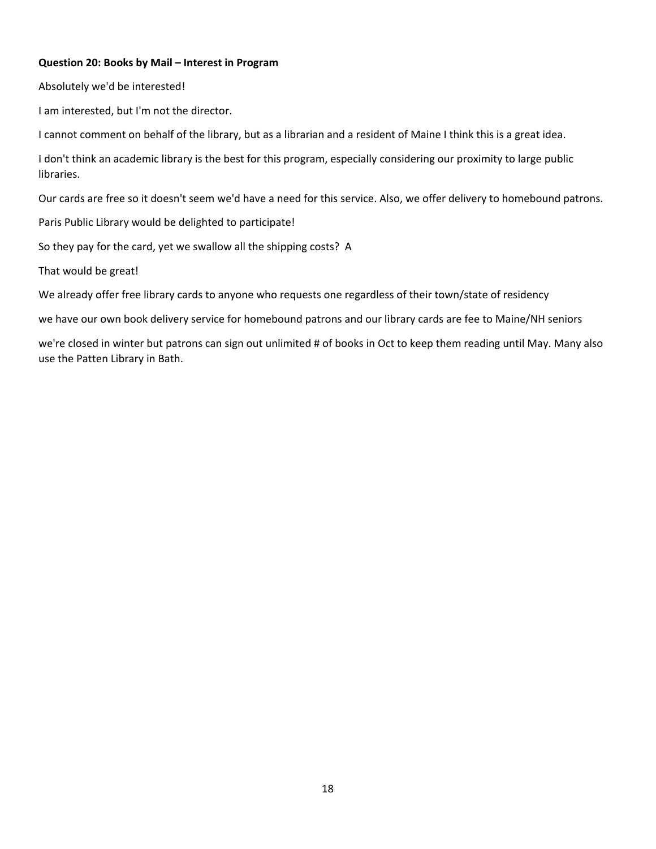### **Question 20: Books by Mail – Interest in Program**

Absolutely we'd be interested!

I am interested, but I'm not the director.

I cannot comment on behalf of the library, but as a librarian and a resident of Maine I think this is a great idea.

I don't think an academic library is the best for this program, especially considering our proximity to large public libraries.

Our cards are free so it doesn't seem we'd have a need for this service. Also, we offer delivery to homebound patrons.

Paris Public Library would be delighted to participate!

So they pay for the card, yet we swallow all the shipping costs? A

That would be great!

We already offer free library cards to anyone who requests one regardless of their town/state of residency

we have our own book delivery service for homebound patrons and our library cards are fee to Maine/NH seniors

we're closed in winter but patrons can sign out unlimited # of books in Oct to keep them reading until May. Many also use the Patten Library in Bath.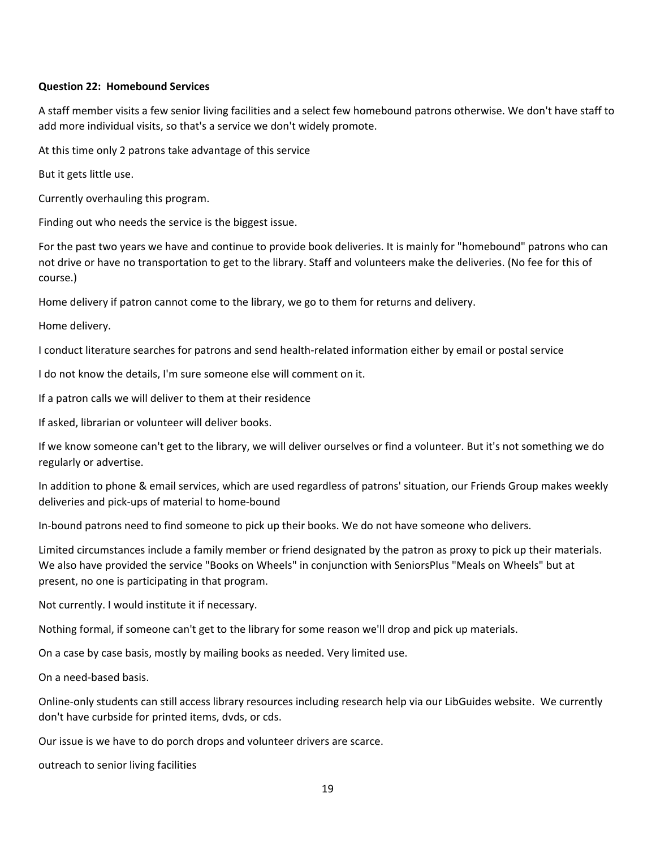#### **Question 22: Homebound Services**

A staff member visits a few senior living facilities and a select few homebound patrons otherwise. We don't have staff to add more individual visits, so that's a service we don't widely promote.

At this time only 2 patrons take advantage of this service

But it gets little use.

Currently overhauling this program.

Finding out who needs the service is the biggest issue.

For the past two years we have and continue to provide book deliveries. It is mainly for "homebound" patrons who can not drive or have no transportation to get to the library. Staff and volunteers make the deliveries. (No fee for this of course.)

Home delivery if patron cannot come to the library, we go to them for returns and delivery.

Home delivery.

I conduct literature searches for patrons and send health-related information either by email or postal service

I do not know the details, I'm sure someone else will comment on it.

If a patron calls we will deliver to them at their residence

If asked, librarian or volunteer will deliver books.

If we know someone can't get to the library, we will deliver ourselves or find a volunteer. But it's not something we do regularly or advertise.

In addition to phone & email services, which are used regardless of patrons' situation, our Friends Group makes weekly deliveries and pick-ups of material to home-bound

In-bound patrons need to find someone to pick up their books. We do not have someone who delivers.

Limited circumstances include a family member or friend designated by the patron as proxy to pick up their materials. We also have provided the service "Books on Wheels" in conjunction with SeniorsPlus "Meals on Wheels" but at present, no one is participating in that program.

Not currently. I would institute it if necessary.

Nothing formal, if someone can't get to the library for some reason we'll drop and pick up materials.

On a case by case basis, mostly by mailing books as needed. Very limited use.

On a need-based basis.

Online-only students can still access library resources including research help via our LibGuides website. We currently don't have curbside for printed items, dvds, or cds.

Our issue is we have to do porch drops and volunteer drivers are scarce.

outreach to senior living facilities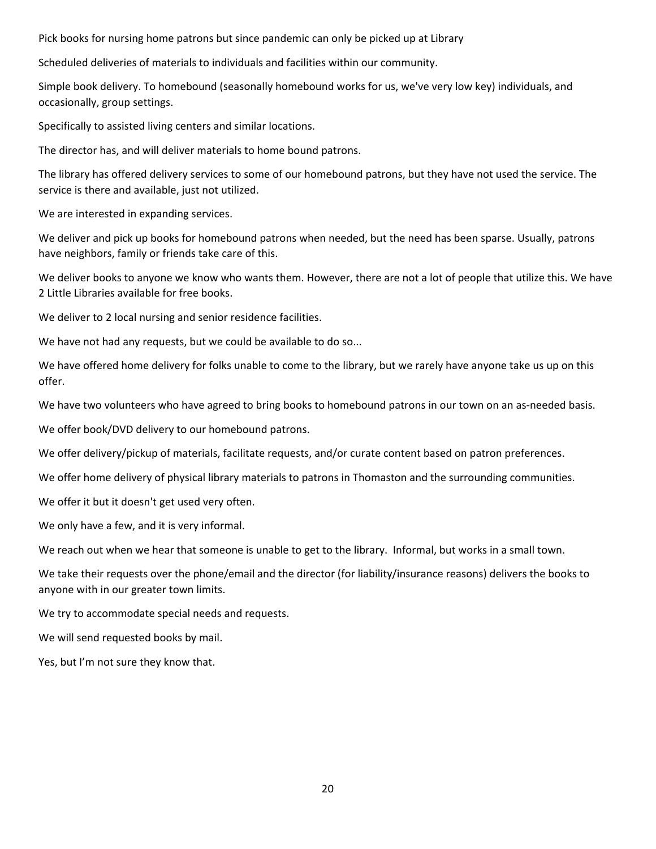Pick books for nursing home patrons but since pandemic can only be picked up at Library

Scheduled deliveries of materials to individuals and facilities within our community.

Simple book delivery. To homebound (seasonally homebound works for us, we've very low key) individuals, and occasionally, group settings.

Specifically to assisted living centers and similar locations.

The director has, and will deliver materials to home bound patrons.

The library has offered delivery services to some of our homebound patrons, but they have not used the service. The service is there and available, just not utilized.

We are interested in expanding services.

We deliver and pick up books for homebound patrons when needed, but the need has been sparse. Usually, patrons have neighbors, family or friends take care of this.

We deliver books to anyone we know who wants them. However, there are not a lot of people that utilize this. We have 2 Little Libraries available for free books.

We deliver to 2 local nursing and senior residence facilities.

We have not had any requests, but we could be available to do so...

We have offered home delivery for folks unable to come to the library, but we rarely have anyone take us up on this offer.

We have two volunteers who have agreed to bring books to homebound patrons in our town on an as-needed basis.

We offer book/DVD delivery to our homebound patrons.

We offer delivery/pickup of materials, facilitate requests, and/or curate content based on patron preferences.

We offer home delivery of physical library materials to patrons in Thomaston and the surrounding communities.

We offer it but it doesn't get used very often.

We only have a few, and it is very informal.

We reach out when we hear that someone is unable to get to the library. Informal, but works in a small town.

We take their requests over the phone/email and the director (for liability/insurance reasons) delivers the books to anyone with in our greater town limits.

We try to accommodate special needs and requests.

We will send requested books by mail.

Yes, but I'm not sure they know that.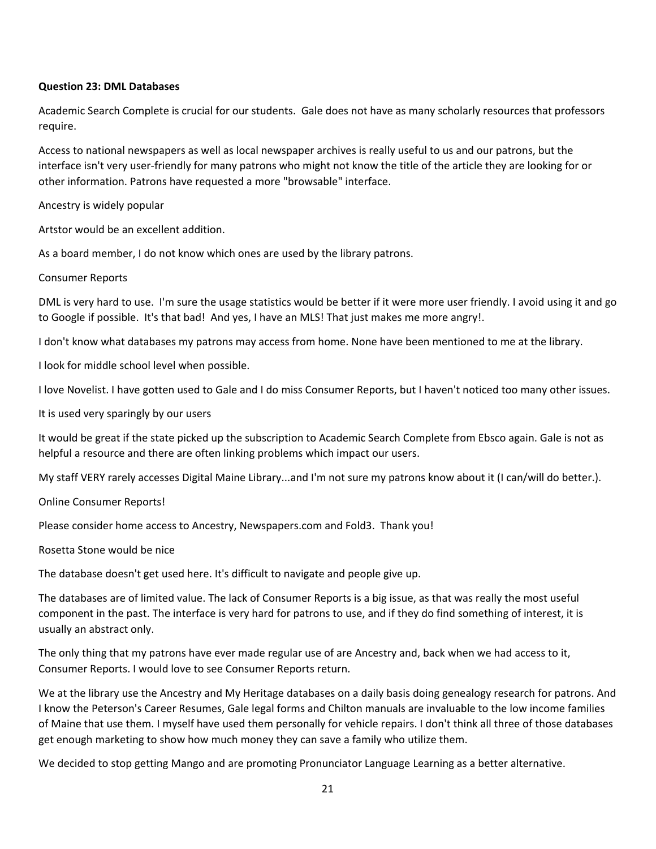#### **Question 23: DML Databases**

Academic Search Complete is crucial for our students. Gale does not have as many scholarly resources that professors require.

Access to national newspapers as well as local newspaper archives is really useful to us and our patrons, but the interface isn't very user-friendly for many patrons who might not know the title of the article they are looking for or other information. Patrons have requested a more "browsable" interface.

Ancestry is widely popular

Artstor would be an excellent addition.

As a board member, I do not know which ones are used by the library patrons.

Consumer Reports

DML is very hard to use. I'm sure the usage statistics would be better if it were more user friendly. I avoid using it and go to Google if possible. It's that bad! And yes, I have an MLS! That just makes me more angry!.

I don't know what databases my patrons may access from home. None have been mentioned to me at the library.

I look for middle school level when possible.

I love Novelist. I have gotten used to Gale and I do miss Consumer Reports, but I haven't noticed too many other issues.

It is used very sparingly by our users

It would be great if the state picked up the subscription to Academic Search Complete from Ebsco again. Gale is not as helpful a resource and there are often linking problems which impact our users.

My staff VERY rarely accesses Digital Maine Library...and I'm not sure my patrons know about it (I can/will do better.).

Online Consumer Reports!

Please consider home access to Ancestry, Newspapers.com and Fold3. Thank you!

Rosetta Stone would be nice

The database doesn't get used here. It's difficult to navigate and people give up.

The databases are of limited value. The lack of Consumer Reports is a big issue, as that was really the most useful component in the past. The interface is very hard for patrons to use, and if they do find something of interest, it is usually an abstract only.

The only thing that my patrons have ever made regular use of are Ancestry and, back when we had access to it, Consumer Reports. I would love to see Consumer Reports return.

We at the library use the Ancestry and My Heritage databases on a daily basis doing genealogy research for patrons. And I know the Peterson's Career Resumes, Gale legal forms and Chilton manuals are invaluable to the low income families of Maine that use them. I myself have used them personally for vehicle repairs. I don't think all three of those databases get enough marketing to show how much money they can save a family who utilize them.

We decided to stop getting Mango and are promoting Pronunciator Language Learning as a better alternative.